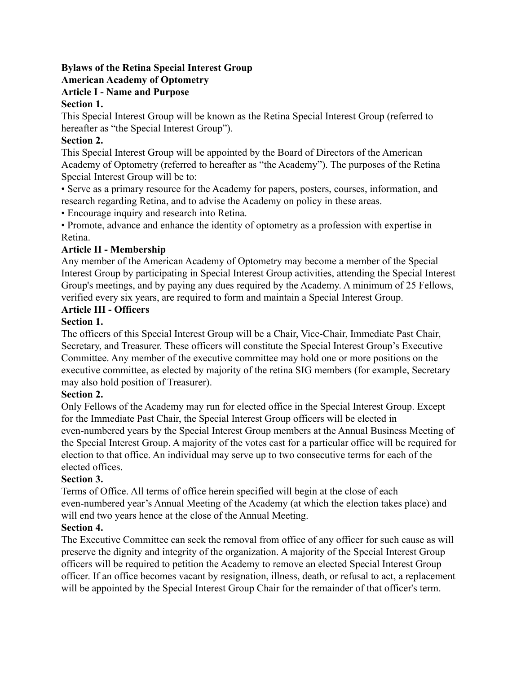#### **Bylaws of the Retina Special Interest Group American Academy of Optometry**

# **Article I - Name and Purpose**

# **Section 1.**

This Special Interest Group will be known as the Retina Special Interest Group (referred to hereafter as "the Special Interest Group").

#### **Section 2.**

This Special Interest Group will be appointed by the Board of Directors of the American Academy of Optometry (referred to hereafter as "the Academy"). The purposes of the Retina Special Interest Group will be to:

• Serve as a primary resource for the Academy for papers, posters, courses, information, and research regarding Retina, and to advise the Academy on policy in these areas.

• Encourage inquiry and research into Retina.

• Promote, advance and enhance the identity of optometry as a profession with expertise in Retina.

# **Article II - Membership**

Any member of the American Academy of Optometry may become a member of the Special Interest Group by participating in Special Interest Group activities, attending the Special Interest Group's meetings, and by paying any dues required by the Academy. A minimum of 25 Fellows, verified every six years, are required to form and maintain a Special Interest Group.

# **Article III - Officers**

# **Section 1.**

The officers of this Special Interest Group will be a Chair, Vice-Chair, Immediate Past Chair, Secretary, and Treasurer. These officers will constitute the Special Interest Group's Executive Committee. Any member of the executive committee may hold one or more positions on the executive committee, as elected by majority of the retina SIG members (for example, Secretary may also hold position of Treasurer).

#### **Section 2.**

Only Fellows of the Academy may run for elected office in the Special Interest Group. Except for the Immediate Past Chair, the Special Interest Group officers will be elected in even-numbered years by the Special Interest Group members at the Annual Business Meeting of the Special Interest Group. A majority of the votes cast for a particular office will be required for election to that office. An individual may serve up to two consecutive terms for each of the elected offices.

#### **Section 3.**

Terms of Office. All terms of office herein specified will begin at the close of each even-numbered year's Annual Meeting of the Academy (at which the election takes place) and will end two years hence at the close of the Annual Meeting.

# **Section 4.**

The Executive Committee can seek the removal from office of any officer for such cause as will preserve the dignity and integrity of the organization. A majority of the Special Interest Group officers will be required to petition the Academy to remove an elected Special Interest Group officer. If an office becomes vacant by resignation, illness, death, or refusal to act, a replacement will be appointed by the Special Interest Group Chair for the remainder of that officer's term.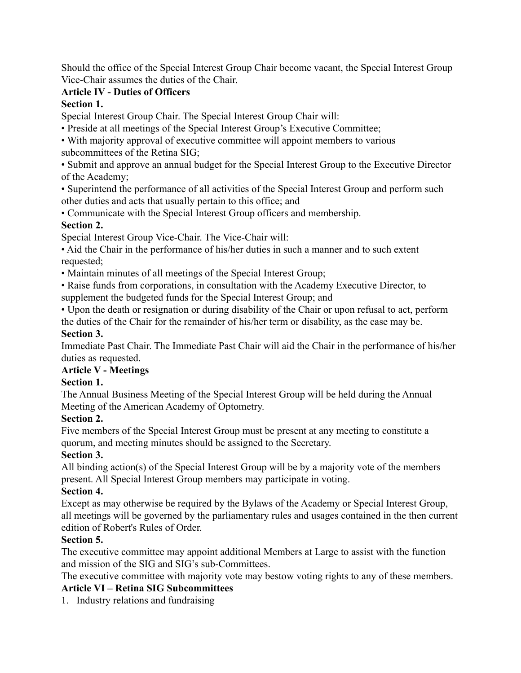Should the office of the Special Interest Group Chair become vacant, the Special Interest Group Vice-Chair assumes the duties of the Chair.

# **Article IV - Duties of Officers**

#### **Section 1.**

Special Interest Group Chair. The Special Interest Group Chair will:

• Preside at all meetings of the Special Interest Group's Executive Committee;

• With majority approval of executive committee will appoint members to various subcommittees of the Retina SIG;

• Submit and approve an annual budget for the Special Interest Group to the Executive Director of the Academy;

• Superintend the performance of all activities of the Special Interest Group and perform such other duties and acts that usually pertain to this office; and

• Communicate with the Special Interest Group officers and membership.

#### **Section 2.**

Special Interest Group Vice-Chair. The Vice-Chair will:

• Aid the Chair in the performance of his/her duties in such a manner and to such extent requested;

• Maintain minutes of all meetings of the Special Interest Group;

• Raise funds from corporations, in consultation with the Academy Executive Director, to supplement the budgeted funds for the Special Interest Group; and

• Upon the death or resignation or during disability of the Chair or upon refusal to act, perform the duties of the Chair for the remainder of his/her term or disability, as the case may be.

#### **Section 3.**

Immediate Past Chair. The Immediate Past Chair will aid the Chair in the performance of his/her duties as requested.

# **Article V - Meetings**

# **Section 1.**

The Annual Business Meeting of the Special Interest Group will be held during the Annual Meeting of the American Academy of Optometry.

# **Section 2.**

Five members of the Special Interest Group must be present at any meeting to constitute a quorum, and meeting minutes should be assigned to the Secretary.

# **Section 3.**

All binding action(s) of the Special Interest Group will be by a majority vote of the members present. All Special Interest Group members may participate in voting.

# **Section 4.**

Except as may otherwise be required by the Bylaws of the Academy or Special Interest Group, all meetings will be governed by the parliamentary rules and usages contained in the then current edition of Robert's Rules of Order.

# **Section 5.**

The executive committee may appoint additional Members at Large to assist with the function and mission of the SIG and SIG's sub-Committees.

The executive committee with majority vote may bestow voting rights to any of these members.

# **Article VI – Retina SIG Subcommittees**

1. Industry relations and fundraising